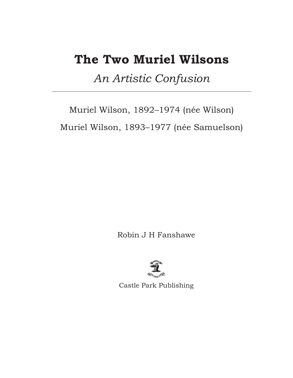# **The Two Muriel Wilsons**

*An Artistic Confusion*

Muriel Wilson, 1892–1974 (née Wilson) Muriel Wilson, 1893–1977 (née Samuelson)

Robin J H Fanshawe



Castle Park Publishing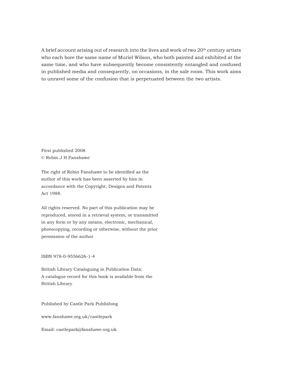A brief account arising out of research into the lives and work of two 20<sup>th</sup> century artists who each bore the same name of Muriel Wilson, who both painted and exhibited at the same time, and who have subsequently become consistently entangled and confused in published media and consequently, on occasions, in the sale room. This work aims to unravel some of the confusion that is perpetuated between the two artists.

First published 2008 © Robin J H Fanshawe

The right of Robin Fanshawe to be identified as the author of this work has been asserted by him in accordance with the Copyright, Designs and Patents Act 1988.

All rights reserved. No part of this publication may be reproduced, stored in a retrieval system, or transmitted in any form or by any means, electronic, mechanical, photocopying, recording or otherwise, without the prior permission of the author

ISBN 978-0-9556626-1-4

British Library Cataloguing in Publication Data: A catalogue record for this book is available from the British Library

Published by Castle Park Publishing

www.fanshawe.org.uk/castlepark

Email: castlepark@fanshawe.org.uk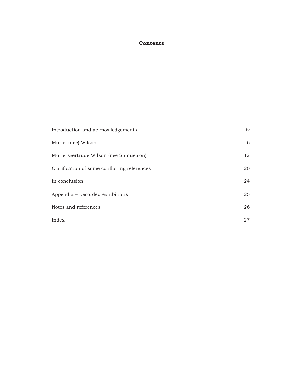# **Contents**

| Introduction and acknowledgements            | iv |
|----------------------------------------------|----|
| Muriel (née) Wilson                          | 6  |
| Muriel Gertrude Wilson (née Samuelson)       | 12 |
| Clarification of some conflicting references | 20 |
| In conclusion                                | 24 |
| Appendix – Recorded exhibitions              | 25 |
| Notes and references                         | 26 |
| Index                                        | 27 |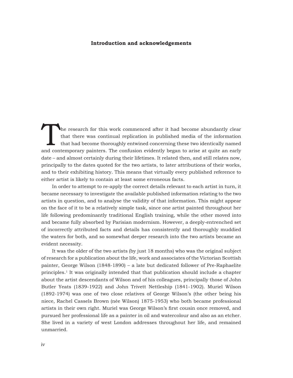#### **Introduction and acknowledgements**

The research for this work commenced after it had become abundantly clear<br>that there was continual replication in published media of the information<br>that had become thoroughly entwined concerning these two identically name that there was continual replication in published media of the information that had become thoroughly entwined concerning these two identically named and contemporary painters. The confusion evidently began to arise at quite an early date – and almost certainly during their lifetimes. It related then, and still relates now, principally to the dates quoted for the two artists, to later attributions of their works, and to their exhibiting history. This means that virtually every published reference to either artist is likely to contain at least some erroneous facts.

In order to attempt to re-apply the correct details relevant to each artist in turn, it became necessary to investigate the available published information relating to the two artists in question, and to analyse the validity of that information. This might appear on the face of it to be a relatively simple task, since one artist painted throughout her life following predominantly traditional English training, while the other moved into and became fully absorbed by Parisian modernism. However, a deeply-entrenched set of incorrectly attributed facts and details has consistently and thoroughly muddied the waters for both, and so somewhat deeper research into the two artists became an evident necessity.

It was the older of the two artists (by just 18 months) who was the original subject of research for a publication about the life, work and associates of the Victorian Scottish painter, George Wilson (1848-1890) – a late but dedicated follower of Pre-Raphaelite principles.1 It was originally intended that that publication should include a chapter about the artist descendants of Wilson and of his colleagues, principally those of John Butler Yeats (1839-1922) and John Trivett Nettleship (1841-1902). Muriel Wilson (1892-1974) was one of two close relatives of George Wilson's (the other being his niece, Rachel Cassels Brown (née Wilson) 1875-1953) who both became professional artists in their own right. Muriel was George Wilson's first cousin once removed, and pursued her professional life as a painter in oil and watercolour and also as an etcher. She lived in a variety of west London addresses throughout her life, and remained unmarried.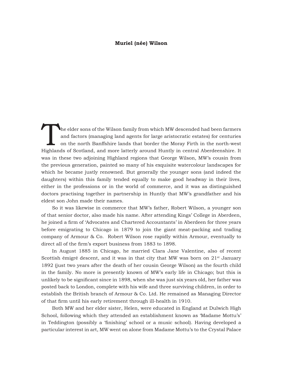#### **Muriel (née) Wilson**

The elder sons of the Wilson family from which MW descended had been farmers and factors (managing land agents for large aristocratic estates) for centuries on the north Banffshire lands that border the Moray Firth in the north-west Highlands of Scotland, and more latterly around Huntly in central Aberdeenshire. It was in these two adjoining Highland regions that George Wilson, MW's cousin from the previous generation, painted so many of his exquisite watercolour landscapes for which he became justly renowned. But generally the younger sons (and indeed the daughters) within this family tended equally to make good headway in their lives, either in the professions or in the world of commerce, and it was as distinguished doctors practising together in partnership in Huntly that MW's grandfather and his eldest son John made their names.

So it was likewise in commerce that MW's father, Robert Wilson, a younger son of that senior doctor, also made his name. After attending Kings' College in Aberdeen, he joined a firm of 'Advocates and Chartered Accountants' in Aberdeen for three years before emigrating to Chicago in 1879 to join the giant meat-packing and trading company of Armour & Co. Robert Wilson rose rapidly within Armour, eventually to direct all of the firm's export business from 1883 to 1898.

In August 1885 in Chicago, he married Clara Jane Valentine, also of recent Scottish émigré descent, and it was in that city that MW was born on  $21^{st}$  January 1892 (just two years after the death of her cousin George Wilson) as the fourth child in the family. No more is presently known of MW's early life in Chicago; but this is unlikely to be significant since in 1898, when she was just six years old, her father was posted back to London, complete with his wife and three surviving children, in order to establish the British branch of Armour & Co. Ltd. He remained as Managing Director of that firm until his early retirement through ill-health in 1910.

Both MW and her elder sister, Helen, were educated in England at Dulwich High School, following which they attended an establishment known as 'Madame Mottu's' in Teddington (possibly a 'finishing' school or a music school). Having developed a particular interest in art, MW went on alone from Madame Mottu's to the Crystal Palace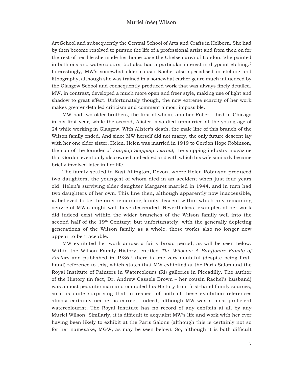Art School and subsequently the Central School of Arts and Crafts in Holborn. She had by then become resolved to pursue the life of a professional artist and from then on for the rest of her life she made her home base the Chelsea area of London. She painted in both oils and watercolours, but also had a particular interest in drypoint etching. $2$ Interestingly, MW's somewhat older cousin Rachel also specialised in etching and lithography, although she was trained in a somewhat earlier genre much influenced by the Glasgow School and consequently produced work that was always finely detailed. MW, in contrast, developed a much more open and freer style, making use of light and shadow to great effect. Unfortunately though, the now extreme scarcity of her work makes greater detailed criticism and comment almost impossible.

MW had two older brothers, the first of whom, another Robert, died in Chicago in his first year, while the second, Alister, also died unmarried at the young age of 24 while working in Glasgow. With Alister's death, the male line of this branch of the Wilson family ended. And since MW herself did not marry, the only future descent lay with her one elder sister, Helen. Helen was married in 1919 to Gordon Hope Robinson, the son of the founder of *Fairplay Shipping Journal*, the shipping industry magazine that Gordon eventually also owned and edited and with which his wife similarly became briefly involved later in her life.

The family settled in East Allington, Devon, where Helen Robinson produced two daughters, the youngest of whom died in an accident when just four years old. Helen's surviving elder daughter Margaret married in 1944, and in turn had two daughters of her own. This line then, although apparently now inaccessible, is believed to be the only remaining family descent within which any remaining oeuvre of MW's might well have descended. Nevertheless, examples of her work did indeed exist within the wider branches of the Wilson family well into the second half of the  $19<sup>th</sup>$  Century; but unfortunately, with the generally depleting generations of the Wilson family as a whole, these works also no longer now appear to be traceable.

MW exhibited her work across a fairly broad period, as will be seen below. Within the Wilson Family History, entitled *The Wilsons; A Banffshire Family of Factors* and published in 1936,<sup>3</sup> there is one very doubtful (despite being firsthand) reference to this, which states that MW exhibited at the Paris Salon and the Royal Institute of Painters in Watercolours (RI) galleries in Piccadilly. The author of the History (in fact, Dr. Andrew Cassels Brown – her cousin Rachel's husband) was a most pedantic man and compiled his History from first-hand family sources, so it is quite surprising that in respect of both of these exhibition references almost certainly neither is correct. Indeed, although MW was a most proficient watercolourist, The Royal Institute has no record of any exhibits at all by any Muriel Wilson. Similarly, it is difficult to acquaint MW's life and work with her ever having been likely to exhibit at the Paris Salons (although this is certainly not so for her namesake, MGW, as may be seen below). So, although it is both difficult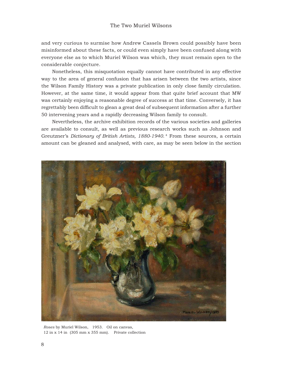and very curious to surmise how Andrew Cassels Brown could possibly have been misinformed about these facts, or could even simply have been confused along with everyone else as to which Muriel Wilson was which, they must remain open to the considerable conjecture.

Nonetheless, this misquotation equally cannot have contributed in any effective way to the area of general confusion that has arisen between the two artists, since the Wilson Family History was a private publication in only close family circulation. However, at the same time, it would appear from that quite brief account that MW was certainly enjoying a reasonable degree of success at that time. Conversely, it has regrettably been difficult to glean a great deal of subsequent information after a further 50 intervening years and a rapidly decreasing Wilson family to consult.

Nevertheless, the archive exhibition records of the various societies and galleries are available to consult, as well as previous research works such as Johnson and Greutzner's *Dictionary of British Artists, 1880-1940*. 4 From these sources, a certain amount can be gleaned and analysed, with care, as may be seen below in the section



*Roses* by Muriel Wilson, 1953. Oil on canvas, 12 in x 14 in (305 mm x 355 mm). Private collection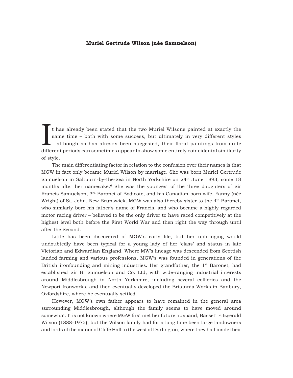### **Muriel Gertrude Wilson (née Samuelson)**

It has already been stated that the two Muriel Wilsons painted at exactly the same time – both with some success, but ultimately in very different styles – although as has already been suggested, their floral paintings fro t has already been stated that the two Muriel Wilsons painted at exactly the same time – both with some success, but ultimately in very different styles  $-$  although as has already been suggested, their floral paintings from quite of style.

The main differentiating factor in relation to the confusion over their names is that MGW in fact only became Muriel Wilson by marriage. She was born Muriel Gertrude Samuelson in Saltburn-by-the-Sea in North Yorkshire on 24th June 1893, some 18 months after her namesake.6 She was the youngest of the three daughters of Sir Francis Samuelson, 3<sup>rd</sup> Baronet of Bodicote, and his Canadian-born wife, Fanny (née Wright) of St. John, New Brunswick. MGW was also thereby sister to the 4<sup>th</sup> Baronet, who similarly bore his father's name of Francis, and who became a highly regarded motor racing driver – believed to be the only driver to have raced competitively at the highest level both before the First World War and then right the way through until after the Second.

Little has been discovered of MGW's early life, but her upbringing would undoubtedly have been typical for a young lady of her 'class' and status in late Victorian and Edwardian England. Where MW's lineage was descended from Scottish landed farming and various professions, MGW's was founded in generations of the British ironfounding and mining industries. Her grandfather, the 1<sup>st</sup> Baronet, had established Sir B. Samuelson and Co. Ltd, with wide-ranging industrial interests around Middlesbrough in North Yorkshire, including several collieries and the Newport Ironworks, and then eventually developed the Britannia Works in Banbury, Oxfordshire, where he eventually settled.

However, MGW's own father appears to have remained in the general area surrounding Middlesbrough, although the family seems to have moved around somewhat. It is not known where MGW first met her future husband, Bassett Fitzgerald Wilson (1888-1972), but the Wilson family had for a long time been large landowners and lords of the manor of Cliffe Hall to the west of Darlington, where they had made their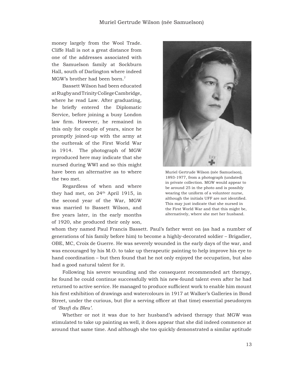money largely from the Wool Trade. Cliffe Hall is not a great distance from one of the addresses associated with the Samuelson family at Sockburn Hall, south of Darlington where indeed MGW's brother had been born.7

Bassett Wilson had been educated at Rugby and Trinity College Cambridge, where he read Law. After graduating, he briefly entered the Diplomatic Service, before joining a busy London law firm. However, he remained in this only for couple of years, since he promptly joined-up with the army at the outbreak of the First World War in 1914. The photograph of MGW reproduced here may indicate that she nursed during WWI and so this might have been an alternative as to where the two met.

Regardless of when and where they had met, on 24<sup>th</sup> April 1915, in the second year of the War, MGW was married to Bassett Wilson, and five years later, in the early months of 1920, she produced their only son,



Muriel Gertrude Wilson (née Samuelson), 1893-1977, from a photograph (undated) in private collection. MGW would appear to be around 25 in the photo and is possibly wearing the uniform of a volunteer nurse, although the initials UFF are not identified. This may just indicate that she nursed in the First World War and that this might be, alternatively, where she met her husband.

whom they named Paul Francis Bassett. Paul's father went on (as had a number of generations of his family before him) to become a highly-decorated soldier – Brigadier, OBE, MC, Croix de Guerre. He was severely wounded in the early days of the war, and was encouraged by his M.O. to take up therapeutic painting to help improve his eye to hand coordination – but then found that he not only enjoyed the occupation, but also had a good natural talent for it.

Following his severe wounding and the consequent recommended art therapy, he found he could continue successfully with his new-found talent even after he had returned to active service. He managed to produce sufficient work to enable him mount his first exhibition of drawings and watercolours in 1917 at Walker's Galleries in Bond Street, under the curious, but (for a serving officer at that time) essential pseudonym of *'Basfi du Bleu'*.

Whether or not it was due to her husband's advised therapy that MGW was stimulated to take up painting as well, it does appear that she did indeed commence at around that same time. And although she too quickly demonstrated a similar aptitude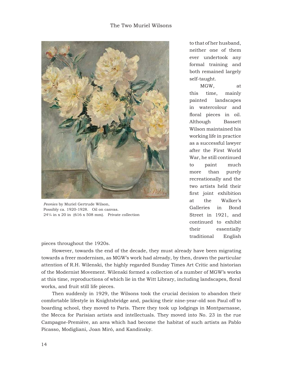# The Two Muriel Wilsons



*Peonies* by Muriel Gertrude Wilson, Possibly ca. 1920-1928. Oil on canvas.  $24\frac{1}{4}$  in x 20 in (616 x 508 mm). Private collection

to that of her husband, neither one of them ever undertook any formal training and both remained largely self-taught.

MGW, at this time, mainly painted landscapes in watercolour and floral pieces in oil. Although Bassett Wilson maintained his working life in practice as a successful lawyer after the First World War, he still continued to paint much more than purely recreationally and the two artists held their first joint exhibition at the Walker's Galleries in Bond Street in 1921, and continued to exhibit their essentially traditional English

pieces throughout the 1920s.

However, towards the end of the decade, they must already have been migrating towards a freer modernism, as MGW's work had already, by then, drawn the particular attention of R.H. Wilenski, the highly regarded Sunday Times Art Critic and historian of the Modernist Movement. Wilenski formed a collection of a number of MGW's works at this time, reproductions of which lie in the Witt Library, including landscapes, floral works, and fruit still life pieces.

Then suddenly in 1929, the Wilsons took the crucial decision to abandon their comfortable lifestyle in Knightsbridge and, packing their nine-year-old son Paul off to boarding school, they moved to Paris. There they took up lodgings in Montparnasse, the Mecca for Parisian artists and intellectuals. They moved into No. 23 in the rue Campagne-Première, an area which had become the habitat of such artists as Pablo Picasso, Modigliani, Joan Miró, and Kandinsky.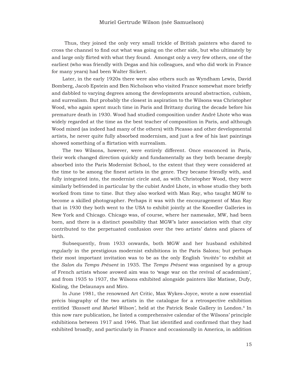Thus, they joined the only very small trickle of British painters who dared to cross the channel to find out what was going on the other side, but who ultimately by and large only flirted with what they found. Amongst only a very few others, one of the earliest (who was friendly with Degas and his colleagues, and who did work in France for many years) had been Walter Sickert.

Later, in the early 1920s there were also others such as Wyndham Lewis, David Bomberg, Jacob Epstein and Ben Nicholson who visited France somewhat more briefly and dabbled to varying degrees among the developments around abstraction, cubism, and surrealism. But probably the closest in aspiration to the Wilsons was Christopher Wood, who again spent much time in Paris and Brittany during the decade before his premature death in 1930. Wood had studied composition under André Lhote who was widely regarded at the time as the best teacher of composition in Paris, and although Wood mixed (as indeed had many of the others) with Picasso and other developmental artists, he never quite fully absorbed modernism, and just a few of his last paintings showed something of a flirtation with surrealism.

The two Wilsons, however, were entirely different. Once ensconced in Paris, their work changed direction quickly and fundamentally as they both became deeply absorbed into the Paris Modernist School, to the extent that they were considered at the time to be among the finest artists in the genre. They became friendly with, and fully integrated into, the modernist circle and, as with Christopher Wood, they were similarly befriended in particular by the cubist André Lhote, in whose studio they both worked from time to time. But they also worked with Man Ray, who taught MGW to become a skilled photographer. Perhaps it was with the encouragement of Man Ray that in 1930 they both went to the USA to exhibit jointly at the Knoedler Galleries in New York and Chicago. Chicago was, of course, where her namesake, MW, had been born, and there is a distinct possibility that MGW's later association with that city contributed to the perpetuated confusion over the two artists' dates and places of birth.

Subsequently, from 1933 onwards, both MGW and her husband exhibited regularly in the prestigious modernist exhibitions in the Paris Salons; but perhaps their most important invitation was to be as the only English *'invités'* to exhibit at the *Salon du Temps Présent* in 1935. The *Temps Présent* was organised by a group of French artists whose avowed aim was to 'wage war on the revival of academism', and from 1935 to 1937, the Wilsons exhibited alongside painters like Matisse, Dufy, Kisling, the Delaunays and Miro.

In June 1981, the renowned Art Critic, Max Wykes-Joyce, wrote a now essential précis biography of the two artists in the catalogue for a retrospective exhibition entitled 'Bassett and Muriel Wilson', held at the Patrick Seale Gallery in London.<sup>8</sup> In this now rare publication, he listed a comprehensive calendar of the Wilsons' principle exhibitions between 1917 and 1946. That list identified and confirmed that they had exhibited broadly, and particularly in France and occasionally in America, in addition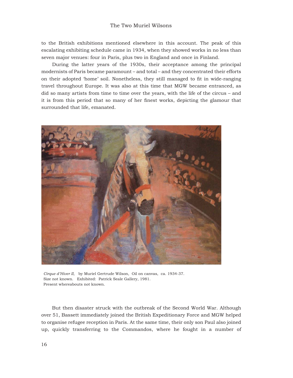#### The Two Muriel Wilsons

to the British exhibitions mentioned elsewhere in this account. The peak of this escalating exhibiting schedule came in 1934, when they showed works in no less than seven major venues: four in Paris, plus two in England and once in Finland.

During the latter years of the 1930s, their acceptance among the principal modernists of Paris became paramount – and total – and they concentrated their efforts on their adopted 'home' soil. Nonetheless, they still managed to fi t in wide-ranging travel throughout Europe. It was also at this time that MGW became entranced, as did so many artists from time to time over the years, with the life of the circus – and it is from this period that so many of her finest works, depicting the glamour that surrounded that life, emanated.



*Cirque d'Hiver II*, by Muriel Gertrude Wilson, Oil on canvas, ca. 1934-37. Size not known. Exhibited: Patrick Seale Gallery, 1981. Present whereabouts not known.

But then disaster struck with the outbreak of the Second World War. Although over 51, Bassett immediately joined the British Expeditionary Force and MGW helped to organise refugee reception in Paris. At the same time, their only son Paul also joined up, quickly transferring to the Commandos, where he fought in a number of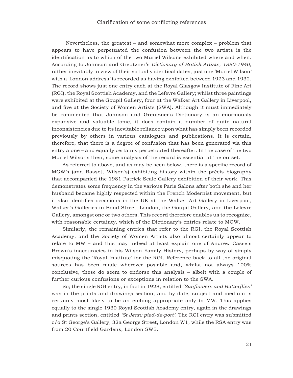Nevertheless, the greatest – and somewhat more complex – problem that appears to have perpetuated the confusion between the two artists is the identification as to which of the two Muriel Wilsons exhibited where and when. According to Johnson and Greutzner's *Dictionary of British Artists, 1880-1940*, rather inevitably in view of their virtually identical dates, just one 'Muriel Wilson' with a 'London address' is recorded as having exhibited between 1923 and 1932. The record shows just one entry each at the Royal Glasgow Institute of Fine Art (RGI) , the Royal Scottish Academy , and the Lefevre Gallery; whilst three paintings were exhibited at the Goupil Gallery , four at the Walker Art Gallery in Liverpool, and five at the Society of Women Artists (SWA). Although it must immediately be commented that Johnson and Greutzner's Dictionary is an enormously expansive and valuable tome, it does contain a number of quite natural inconsistencies due to its inevitable reliance upon what has simply been recorded previously by others in various catalogues and publications. It is certain, therefore, that there is a degree of confusion that has been generated via this entry alone – and equally certainly perpetuated thereafter. In the case of the two Muriel Wilsons then, some analysis of the record is essential at the outset.

As referred to above, and as may be seen below, there is a specific record of MGW's (and Bassett Wilson's) exhibiting history within the précis biography that accompanied the 1981 Patrick Seale Gallery exhibition of their work. This demonstrates some frequency in the various Paris Salons after both she and her husband became highly respected within the French Modernist movement, but it also identifies occasions in the UK at the Walker Art Gallery in Liverpool, Walker's Galleries in Bond Street, London, the Goupil Gallery, and the Lefevre Gallery, amongst one or two others. This record therefore enables us to recognize, with reasonable certainty, which of the Dictionary's entries relate to MGW.

Similarly, the remaining entries that refer to the RGI, the Royal Scottish Academy, and the Society of Women Artists also almost certainly appear to relate to MW – and this may indeed at least explain one of Andrew Cassels Brown's inaccuracies in his Wilson Family History, perhaps by way of simply misquoting the 'Royal Institute' for the RGI. Reference back to all the original sources has been made wherever possible and, whilst not always 100% conclusive, these do seem to endorse this analysis – albeit with a couple of further curious confusions or exceptions in relation to the SWA.

So; the single RGI entry, in fact in 1928, entitled *'Sunflowers and Butterflies'* was in the prints and drawings section, and by date, subject and medium is certainly most likely to be an etching appropriate only to MW. This applies equally to the single 1930 Royal Scottish Academy entry, again in the drawings and prints section, entitled *'St Jean: pied-de-port'* . The RGI entry was submitted c/o St George's Gallery, 32a George Street, London W1, while the RSA entry was from 20 Courtfield Gardens, London SW5.